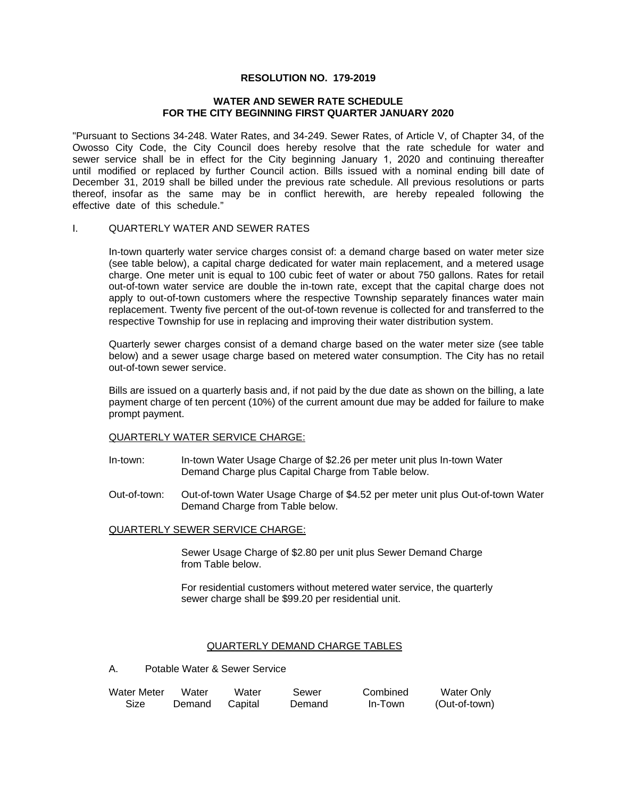## **RESOLUTION NO. 179-2019**

### **WATER AND SEWER RATE SCHEDULE FOR THE CITY BEGINNING FIRST QUARTER JANUARY 2020**

"Pursuant to Sections 34-248. Water Rates, and 34-249. Sewer Rates, of Article V, of Chapter 34, of the Owosso City Code, the City Council does hereby resolve that the rate schedule for water and sewer service shall be in effect for the City beginning January 1, 2020 and continuing thereafter until modified or replaced by further Council action. Bills issued with a nominal ending bill date of December 31, 2019 shall be billed under the previous rate schedule. All previous resolutions or parts thereof, insofar as the same may be in conflict herewith, are hereby repealed following the effective date of this schedule."

#### I. QUARTERLY WATER AND SEWER RATES

In-town quarterly water service charges consist of: a demand charge based on water meter size (see table below), a capital charge dedicated for water main replacement, and a metered usage charge. One meter unit is equal to 100 cubic feet of water or about 750 gallons. Rates for retail out-of-town water service are double the in-town rate, except that the capital charge does not apply to out-of-town customers where the respective Township separately finances water main replacement. Twenty five percent of the out-of-town revenue is collected for and transferred to the respective Township for use in replacing and improving their water distribution system.

Quarterly sewer charges consist of a demand charge based on the water meter size (see table below) and a sewer usage charge based on metered water consumption. The City has no retail out-of-town sewer service.

Bills are issued on a quarterly basis and, if not paid by the due date as shown on the billing, a late payment charge of ten percent (10%) of the current amount due may be added for failure to make prompt payment.

#### QUARTERLY WATER SERVICE CHARGE:

- In-town: In-town Water Usage Charge of \$2.26 per meter unit plus In-town Water Demand Charge plus Capital Charge from Table below.
- Out-of-town: Out-of-town Water Usage Charge of \$4.52 per meter unit plus Out-of-town Water Demand Charge from Table below.

# QUARTERLY SEWER SERVICE CHARGE:

Sewer Usage Charge of \$2.80 per unit plus Sewer Demand Charge from Table below.

For residential customers without metered water service, the quarterly sewer charge shall be \$99.20 per residential unit.

#### QUARTERLY DEMAND CHARGE TABLES

A. Potable Water & Sewer Service

| Water Meter | Water  | Water   | Sewer  | Combined | Water Only    |
|-------------|--------|---------|--------|----------|---------------|
| Size        | Demand | Capital | Demand | In-Town  | (Out-of-town) |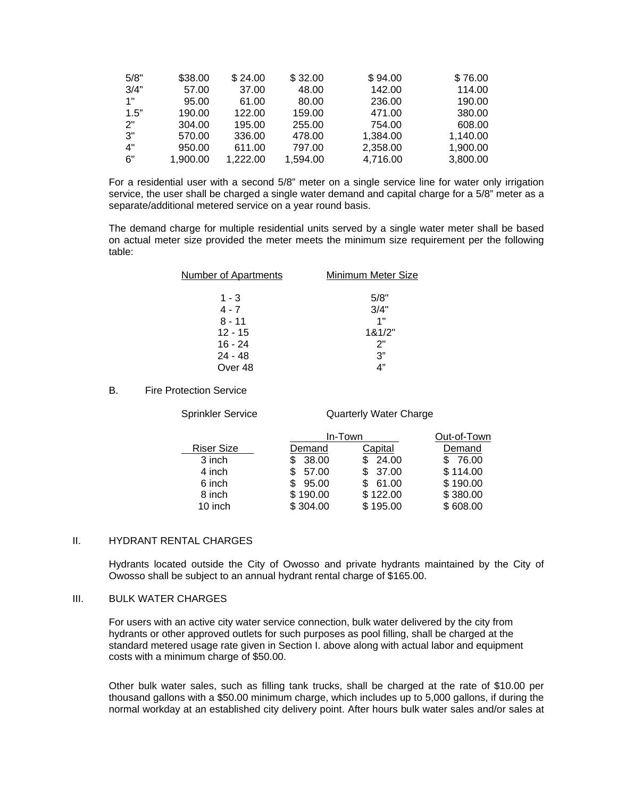| 5/8" | \$38.00  | \$24.00  | \$32.00  | \$94.00  | \$76.00  |
|------|----------|----------|----------|----------|----------|
| 3/4" | 57.00    | 37.00    | 48.00    | 142.00   | 114.00   |
| 1"   | 95.00    | 61.00    | 80.00    | 236.00   | 190.00   |
| 1.5" | 190.00   | 122.00   | 159.00   | 471.00   | 380.00   |
| 2"   | 304.00   | 195.00   | 255.00   | 754.00   | 608.00   |
| 3"   | 570.00   | 336.00   | 478.00   | 1,384.00 | 1,140.00 |
| 4"   | 950.00   | 611.00   | 797.00   | 2,358.00 | 1,900.00 |
| 6"   | 1,900.00 | 1.222.00 | 1,594.00 | 4,716.00 | 3,800.00 |

For a residential user with a second 5/8" meter on a single service line for water only irrigation service, the user shall be charged a single water demand and capital charge for a 5/8" meter as a separate/additional metered service on a year round basis.

The demand charge for multiple residential units served by a single water meter shall be based on actual meter size provided the meter meets the minimum size requirement per the following table:

| <b>Number of Apartments</b> | Minimum Meter Size |
|-----------------------------|--------------------|
|                             |                    |
| 1 - 3                       | 5/8"               |
| $4 - 7$                     | 3/4"               |
| $8 - 11$                    | 1"                 |
| $12 - 15$                   | 181/2"             |
| $16 - 24$                   | 2"                 |
| $24 - 48$                   | 3"                 |
| Over 48                     | 4"                 |

### B. Fire Protection Service

Sprinkler Service **Quarterly Water Charge** 

|                   | In-Town  |          | Out-of-Town |
|-------------------|----------|----------|-------------|
| <b>Riser Size</b> | Demand   | Capital  | Demand      |
| 3 inch            | 38.00    | 24.00    | 76.00       |
| 4 inch            | 57.00    | 37.00    | \$114.00    |
| 6 inch            | 95.00    | 61.00    | \$190.00    |
| 8 inch            | \$190.00 | \$122.00 | \$380.00    |
| 10 inch           | \$304.00 | \$195.00 | \$608.00    |

#### II. HYDRANT RENTAL CHARGES

Hydrants located outside the City of Owosso and private hydrants maintained by the City of Owosso shall be subject to an annual hydrant rental charge of \$165.00.

# III. BULK WATER CHARGES

For users with an active city water service connection, bulk water delivered by the city from hydrants or other approved outlets for such purposes as pool filling, shall be charged at the standard metered usage rate given in Section I. above along with actual labor and equipment costs with a minimum charge of \$50.00.

Other bulk water sales, such as filling tank trucks, shall be charged at the rate of \$10.00 per thousand gallons with a \$50.00 minimum charge, which includes up to 5,000 gallons, if during the normal workday at an established city delivery point. After hours bulk water sales and/or sales at